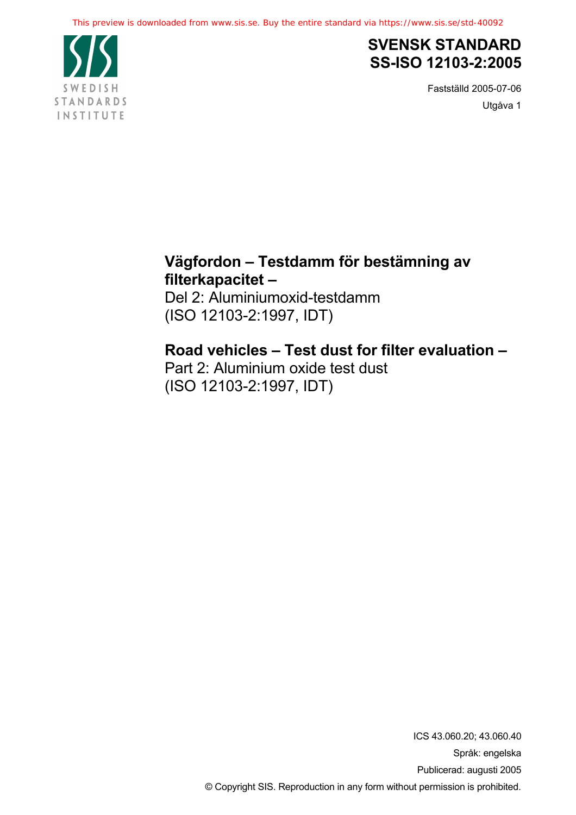

# **SVENSK STANDARD SS-ISO 12103-2:2005**

Fastställd 2005-07-06 Utgåva 1

# **Vägfordon – Testdamm för bestämning av filterkapacitet –**

Del 2: Aluminiumoxid-testdamm (ISO 12103-2:1997, IDT)

# **Road vehicles – Test dust for filter evaluation –**

Part 2: Aluminium oxide test dust (ISO 12103-2:1997, IDT)

> ICS 43.060.20; 43.060.40 Språk: engelska Publicerad: augusti 2005 © Copyright SIS. Reproduction in any form without permission is prohibited.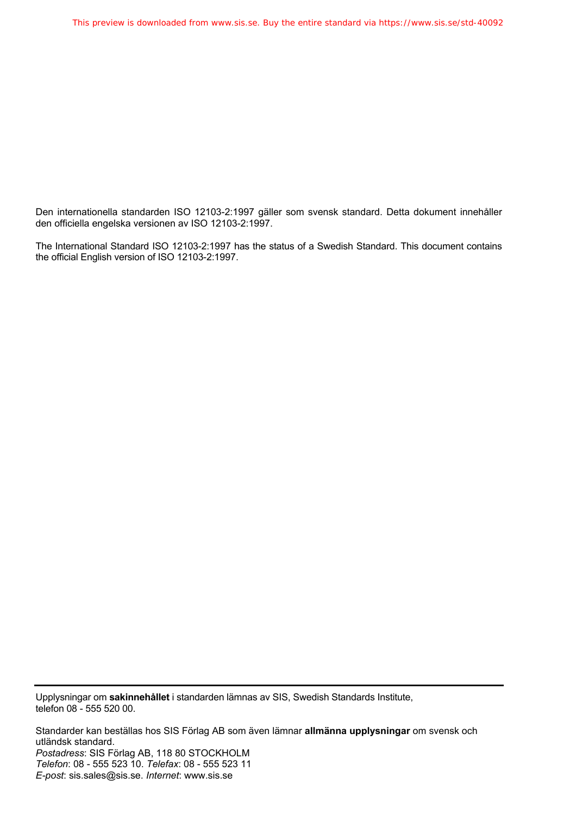Den internationella standarden ISO 12103-2:1997 gäller som svensk standard. Detta dokument innehåller den officiella engelska versionen av ISO 12103-2:1997.

The International Standard ISO 12103-2:1997 has the status of a Swedish Standard. This document contains the official English version of ISO 12103-2:1997.

Upplysningar om **sakinnehållet** i standarden lämnas av SIS, Swedish Standards Institute, telefon 08 - 555 520 00.

Standarder kan beställas hos SIS Förlag AB som även lämnar **allmänna upplysningar** om svensk och utländsk standard. *Postadress*: SIS Förlag AB, 118 80 STOCKHOLM *Telefon*: 08 - 555 523 10. *Telefax*: 08 - 555 523 11 *E-post*: sis.sales@sis.se. *Internet*: www.sis.se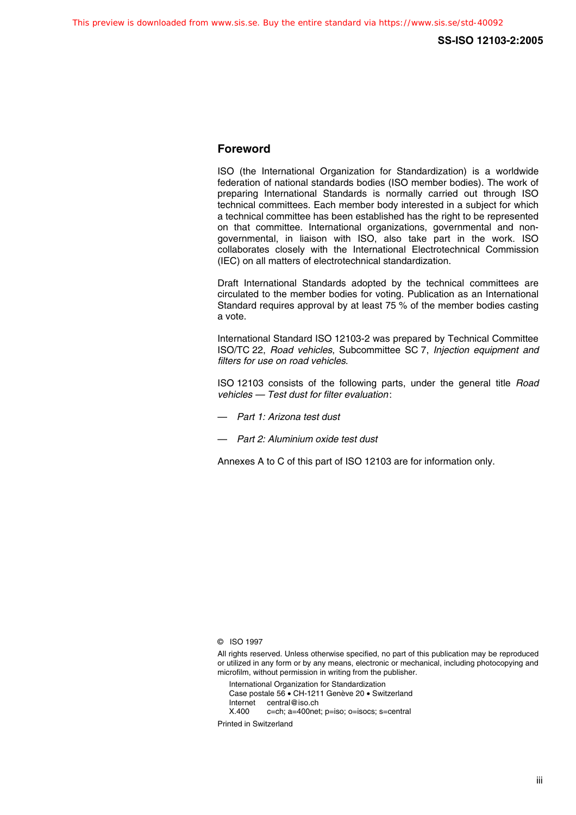## **Foreword**

ISO (the International Organization for Standardization) is a worldwide federation of national standards bodies (ISO member bodies). The work of preparing International Standards is normally carried out through ISO technical committees. Each member body interested in a subject for which a technical committee has been established has the right to be represented on that committee. International organizations, governmental and nongovernmental, in liaison with ISO, also take part in the work. ISO collaborates closely with the International Electrotechnical Commission (IEC) on all matters of electrotechnical standardization.

Draft International Standards adopted by the technical committees are circulated to the member bodies for voting. Publication as an International Standard requires approval by at least 75 % of the member bodies casting a vote.

International Standard ISO 12103-2 was prepared by Technical Committee ISO/TC 22, Road vehicles, Subcommittee SC 7, Injection equipment and filters for use on road vehicles.

ISO 12103 consists of the following parts, under the general title Road vehicles — Test dust for filter evaluation:

- Part 1: Arizona test dust
- Part 2: Aluminium oxide test dust

Annexes A to C of this part of ISO 12103 are for information only.

International Organization for Standardization Case postale 56 • CH-1211 Genève 20 • Switzerland Internet central@iso.ch<br>X.400 c=ch: a=400ne c=ch; a=400net; p=iso; o=isocs; s=central

Printed in Switzerland

<sup>©</sup> ISO 1997

All rights reserved. Unless otherwise specified, no part of this publication may be reproduced or utilized in any form or by any means, electronic or mechanical, including photocopying and microfilm, without permission in writing from the publisher.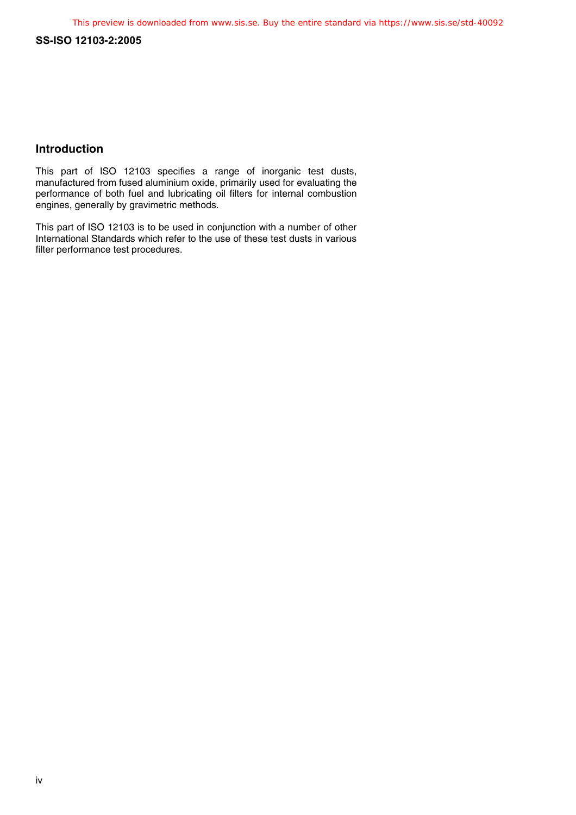#### **SS-ISO 12103-2:2005**

## **Introduction**

This part of ISO 12103 specifies a range of inorganic test dusts, manufactured from fused aluminium oxide, primarily used for evaluating the performance of both fuel and lubricating oil filters for internal combustion engines, generally by gravimetric methods.

This part of ISO 12103 is to be used in conjunction with a number of other International Standards which refer to the use of these test dusts in various filter performance test procedures.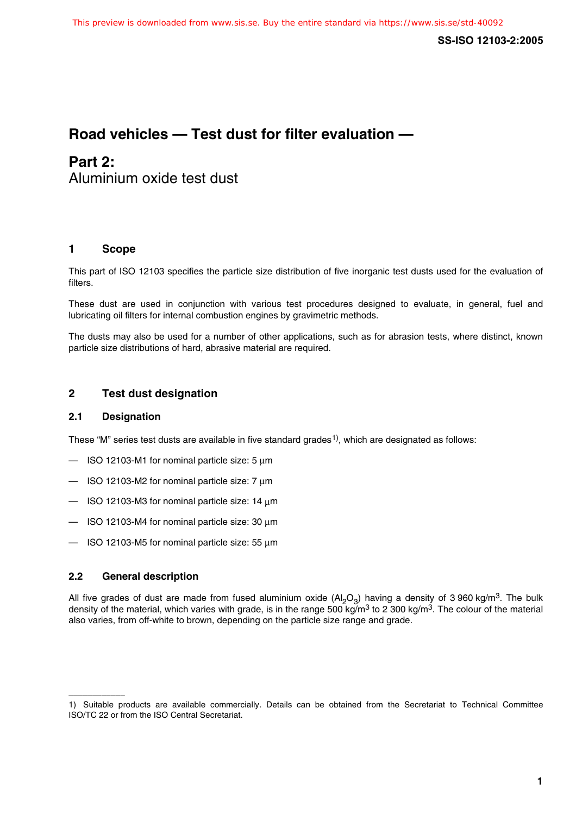# **Road vehicles — Test dust for filter evaluation —**

# **Part 2:**

Aluminium oxide test dust

## **1 Scope**

This part of ISO 12103 specifies the particle size distribution of five inorganic test dusts used for the evaluation of filters.

These dust are used in conjunction with various test procedures designed to evaluate, in general, fuel and lubricating oil filters for internal combustion engines by gravimetric methods.

The dusts may also be used for a number of other applications, such as for abrasion tests, where distinct, known particle size distributions of hard, abrasive material are required.

## **2 Test dust designation**

#### **2.1 Designation**

These "M" series test dusts are available in five standard grades<sup>1)</sup>, which are designated as follows:

- $-$  ISO 12103-M1 for nominal particle size: 5  $\mu$ m
- $-$  ISO 12103-M2 for nominal particle size: 7  $\mu$ m
- $-$  ISO 12103-M3 for nominal particle size: 14  $\mu$ m
- $-$  ISO 12103-M4 for nominal particle size: 30  $\mu$ m
- $-$  ISO 12103-M5 for nominal particle size: 55  $\mu$ m

#### **2.2 General description**

\_\_\_\_\_\_\_\_\_\_\_\_

All five grades of dust are made from fused aluminium oxide  $(A<sub>2</sub>O<sub>3</sub>)$  having a density of 3 960 kg/m<sup>3</sup>. The bulk density of the material, which varies with grade, is in the range 500 kg/m<sup>3</sup> to 2 300 kg/m<sup>3</sup>. The colour of the material also varies, from off-white to brown, depending on the particle size range and grade.

<sup>1)</sup> Suitable products are available commercially. Details can be obtained from the Secretariat to Technical Committee ISO/TC 22 or from the ISO Central Secretariat.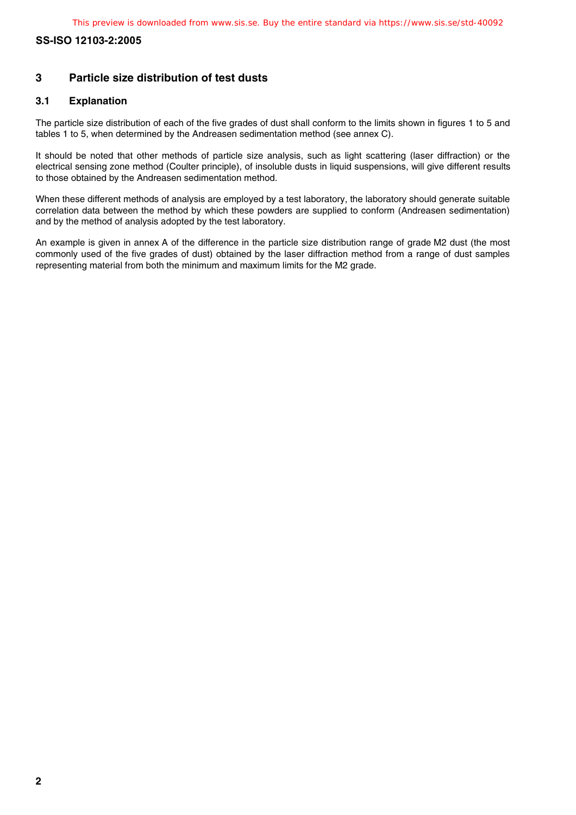# **SS-ISO 12103-2:2005**

# **3 Particle size distribution of test dusts**

#### **3.1 Explanation**

The particle size distribution of each of the five grades of dust shall conform to the limits shown in figures 1 to 5 and tables 1 to 5, when determined by the Andreasen sedimentation method (see annex C).

It should be noted that other methods of particle size analysis, such as light scattering (laser diffraction) or the electrical sensing zone method (Coulter principle), of insoluble dusts in liquid suspensions, will give different results to those obtained by the Andreasen sedimentation method.

When these different methods of analysis are employed by a test laboratory, the laboratory should generate suitable correlation data between the method by which these powders are supplied to conform (Andreasen sedimentation) and by the method of analysis adopted by the test laboratory.

An example is given in annex A of the difference in the particle size distribution range of grade M2 dust (the most commonly used of the five grades of dust) obtained by the laser diffraction method from a range of dust samples representing material from both the minimum and maximum limits for the M2 grade.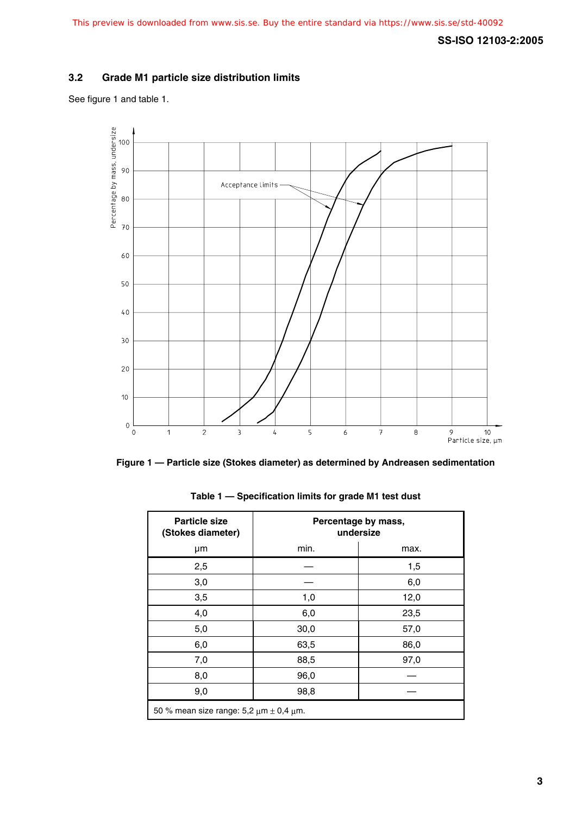# **SS-ISO 12103-2:2005**

#### **3.2 Grade M1 particle size distribution limits**

See figure 1 and table 1.





| <b>Particle size</b><br>(Stokes diameter)         | Percentage by mass,<br>undersize |      |  |
|---------------------------------------------------|----------------------------------|------|--|
| μm                                                | min.                             | max. |  |
| 2,5                                               |                                  | 1,5  |  |
| 3,0                                               |                                  | 6,0  |  |
| 3,5                                               | 1,0                              | 12,0 |  |
| 4,0                                               | 6,0                              | 23,5 |  |
| 5,0                                               | 30,0                             | 57,0 |  |
| 6,0                                               | 63,5                             | 86,0 |  |
| 7,0                                               | 88,5                             | 97,0 |  |
| 8,0                                               | 96,0                             |      |  |
| 9,0                                               | 98,8                             |      |  |
| 50 % mean size range: $5.2 \mu m \pm 0.4 \mu m$ . |                                  |      |  |

**Table 1 — Specification limits for grade M1 test dust**